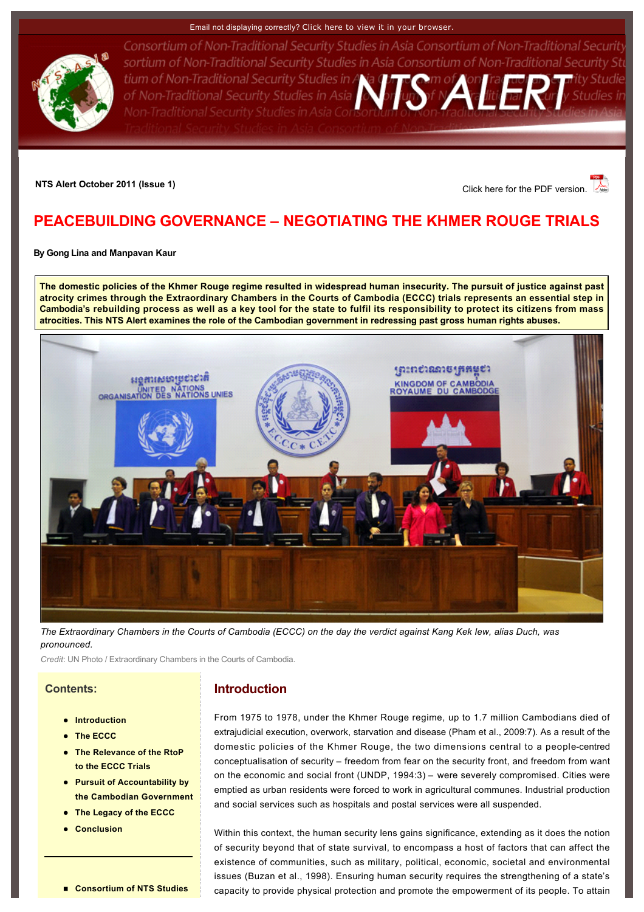#### Email not displaying correctly? [Click here to view it in your browser.](http://www.rsis.edu.sg/nts/html-newsletter/alert/nts-alert-oct-1101.html)



Consortium of Non-Traditional Security Studies in Asia Consortium of Non-Traditional Security sortium of Non-Traditional Security Studies in Asia Consortium of Non-Traditional Security Stu tium of Non-Traditional Security Studies in A of Non-Traditional Security Studies in Asia Non-Traditional Security Studies in Asia Cons

## **NTS Alert October 2011 (Issue 1) NTS Alert October 2011 (Issue 1) Click here for the PDF version.**

# <span id="page-0-0"></span>**PEACEBUILDING GOVERNANCE – NEGOTIATING THE KHMER ROUGE TRIALS**

**By [Gong Lina](http://www.rsis.edu.sg/nts/people.asp?sid=71&prev=people) and [Manpavan Kaur](http://www.rsis.edu.sg/nts/people.asp?sid=73&prev=people)**

**The domestic policies of the Khmer Rouge regime resulted in widespread human insecurity. The pursuit of justice against past atrocity crimes through the Extraordinary Chambers in the Courts of Cambodia (ECCC) trials represents an essential step in Cambodia's rebuilding process as well as a key tool for the state to fulfil its responsibility to protect its citizens from mass atrocities. This NTS Alert examines the role of the Cambodian government in redressing past gross human rights abuses.**



*The Extraordinary Chambers in the Courts of Cambodia (ECCC) on the day the verdict against Kang Kek Iew, alias Duch, was pronounced.*

*Credit*: UN Photo / Extraordinary Chambers in the Courts of Cambodia.

### **Contents:**

- **•** [Introduction](http://www.rsis.edu.sg/nts/html-newsletter/alert/nts-alert-oct-1101.html#Intro)
- **[The ECCC](http://www.rsis.edu.sg/nts/html-newsletter/alert/nts-alert-oct-1101.html#ECCC)**
- **The Relevance of the RtoP to the ECCC Trials**
- **Pursuit of Accountability by [the Cambodian Government](http://www.rsis.edu.sg/nts/html-newsletter/alert/nts-alert-oct-1101.html#Pursuit)**
- **[The Legacy of the ECCC](http://www.rsis.edu.sg/nts/html-newsletter/alert/nts-alert-oct-1101.html#Legacy)**
- l **[Conclusion](http://www.rsis.edu.sg/nts/html-newsletter/alert/nts-alert-oct-1101.html#Conclusion)**

## **Introduction**

From 1975 to 1978, under the Khmer Rouge regime, up to 1.7 million Cambodians died of extrajudicial execution, overwork, starvation and disease (Pham et al., 2009:7). As a result of the domestic policies of the Khmer Rouge, the two dimensions central to a people-centred conceptualisation of security – freedom from fear on the security front, and freedom from want on the economic and social front (UNDP, 1994:3) – were severely compromised. Cities were emptied as urban residents were forced to work in agricultural communes. Industrial production and social services such as hospitals and postal services were all suspended.

Within this context, the human security lens gains significance, extending as it does the notion of security beyond that of state survival, to encompass a host of factors that can affect the existence of communities, such as military, political, economic, societal and environmental issues (Buzan et al., 1998). Ensuring human security requires the strengthening of a state's capacity to provide physical protection and promote the empowerment of its people. To attain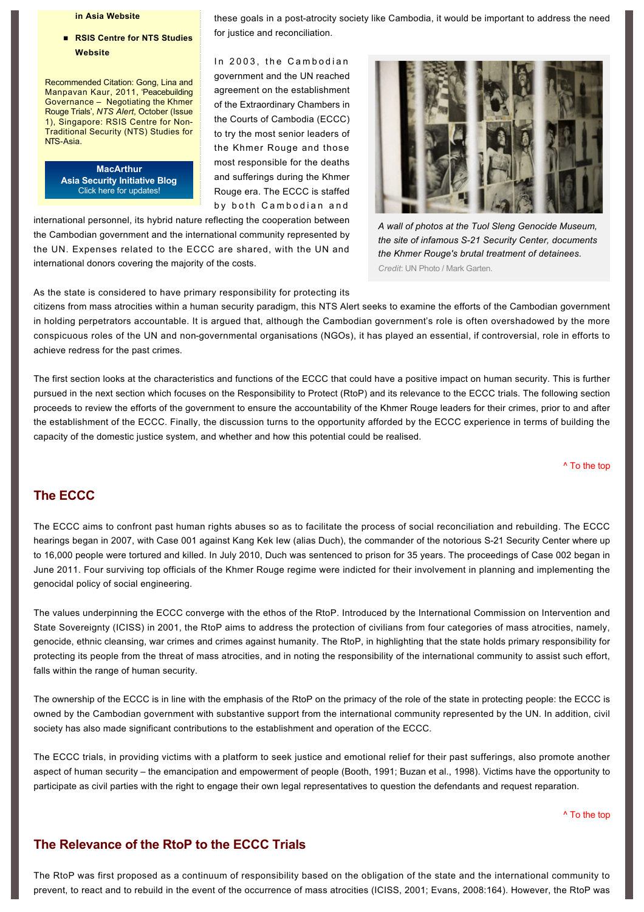### **[in Asia Website](http://www.rsis-ntsasia.org/index.html)**

### ■ RSIS Centre for NTS Studies **Website**

Recommended Citation: Gong, Lina and Manpavan Kaur, 2011, 'Peacebuilding Governance – Negotiating the Khmer Rouge Trials', *NTS Alert*, October (Issue 1), Singapore: RSIS Centre for Non-Traditional Security (NTS) Studies for NTS-Asia.

> **MacArthur [Asia Security Initiative Blog](http://www.asicluster3.com/blog_self/index.php)** Click here for updates!

these goals in a post-atrocity society like Cambodia, it would be important to address the need for justice and reconciliation.

In 2003, the Cambodian government and the UN reached agreement on the establishment of the Extraordinary Chambers in the Courts of Cambodia (ECCC) to try the most senior leaders of the Khmer Rouge and those most responsible for the deaths and sufferings during the Khmer Rouge era. The ECCC is staffed by both Cambodian and

international personnel, its hybrid nature reflecting the cooperation between the Cambodian government and the international community represented by the UN. Expenses related to the ECCC are shared, with the UN and international donors covering the majority of the costs.



*A wall of photos at the Tuol Sleng Genocide Museum, the site of infamous S21 Security Center, documents the Khmer Rouge's brutal treatment of detainees. Credit*: UN Photo / Mark Garten.

As the state is considered to have primary responsibility for protecting its

citizens from mass atrocities within a human security paradigm, this NTS Alert seeks to examine the efforts of the Cambodian government in holding perpetrators accountable. It is argued that, although the Cambodian government's role is often overshadowed by the more conspicuous roles of the UN and nongovernmental organisations (NGOs), it has played an essential, if controversial, role in efforts to achieve redress for the past crimes.

The first section looks at the characteristics and functions of the ECCC that could have a positive impact on human security. This is further pursued in the next section which focuses on the Responsibility to Protect (RtoP) and its relevance to the ECCC trials. The following section proceeds to review the efforts of the government to ensure the accountability of the Khmer Rouge leaders for their crimes, prior to and after the establishment of the ECCC. Finally, the discussion turns to the opportunity afforded by the ECCC experience in terms of building the capacity of the domestic justice system, and whether and how this potential could be realised.

[^ To the top](#page-0-0)

## **The ECCC**

The ECCC aims to confront past human rights abuses so as to facilitate the process of social reconciliation and rebuilding. The ECCC hearings began in 2007, with Case 001 against Kang Kek Iew (alias Duch), the commander of the notorious S-21 Security Center where up to 16,000 people were tortured and killed. In July 2010, Duch was sentenced to prison for 35 years. The proceedings of Case 002 began in June 2011. Four surviving top officials of the Khmer Rouge regime were indicted for their involvement in planning and implementing the genocidal policy of social engineering.

The values underpinning the ECCC converge with the ethos of the RtoP. Introduced by the International Commission on Intervention and State Sovereignty (ICISS) in 2001, the RtoP aims to address the protection of civilians from four categories of mass atrocities, namely, genocide, ethnic cleansing, war crimes and crimes against humanity. The RtoP, in highlighting that the state holds primary responsibility for protecting its people from the threat of mass atrocities, and in noting the responsibility of the international community to assist such effort, falls within the range of human security.

The ownership of the ECCC is in line with the emphasis of the RtoP on the primacy of the role of the state in protecting people: the ECCC is owned by the Cambodian government with substantive support from the international community represented by the UN. In addition, civil society has also made significant contributions to the establishment and operation of the ECCC.

The ECCC trials, in providing victims with a platform to seek justice and emotional relief for their past sufferings, also promote another aspect of human security – the emancipation and empowerment of people (Booth, 1991; Buzan et al., 1998). Victims have the opportunity to participate as civil parties with the right to engage their own legal representatives to question the defendants and request reparation.

[^ To the top](#page-0-0)

## **The Relevance of the RtoP to the ECCC Trials**

The RtoP was first proposed as a continuum of responsibility based on the obligation of the state and the international community to prevent, to react and to rebuild in the event of the occurrence of mass atrocities (ICISS, 2001; Evans, 2008:164). However, the RtoP was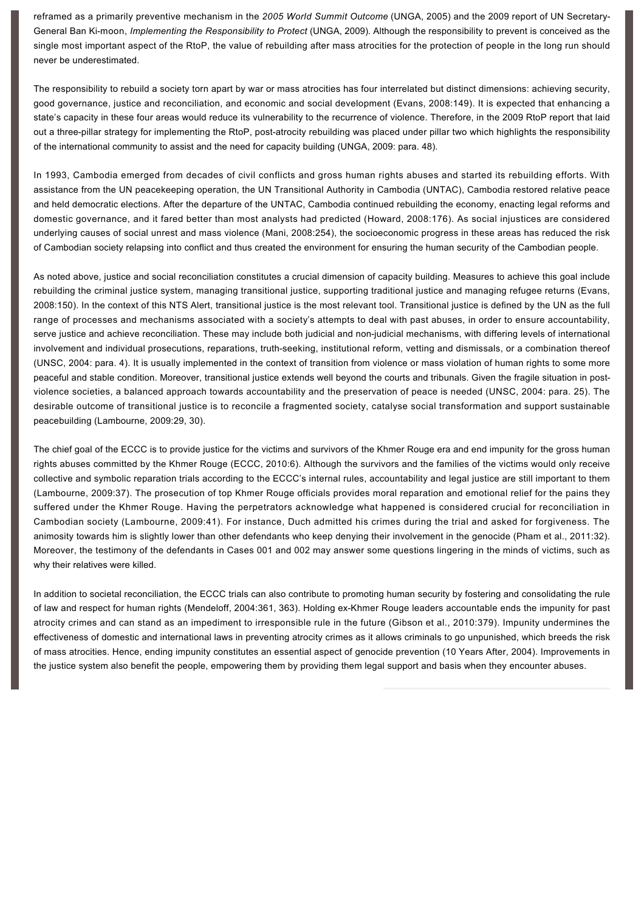reframed as a primarily preventive mechanism in the *2005 World Summit Outcome* (UNGA, 2005) and the 2009 report of UN Secretary-General Ban Ki-moon, *Implementing the Responsibility to Protect* (UNGA, 2009). Although the responsibility to prevent is conceived as the single most important aspect of the RtoP, the value of rebuilding after mass atrocities for the protection of people in the long run should never be underestimated.

The responsibility to rebuild a society torn apart by war or mass atrocities has four interrelated but distinct dimensions: achieving security, good governance, justice and reconciliation, and economic and social development (Evans, 2008:149). It is expected that enhancing a state's capacity in these four areas would reduce its vulnerability to the recurrence of violence. Therefore, in the 2009 RtoP report that laid out a three-pillar strategy for implementing the RtoP, post-atrocity rebuilding was placed under pillar two which highlights the responsibility of the international community to assist and the need for capacity building (UNGA, 2009: para. 48).

In 1993, Cambodia emerged from decades of civil conflicts and gross human rights abuses and started its rebuilding efforts. With assistance from the UN peacekeeping operation, the UN Transitional Authority in Cambodia (UNTAC), Cambodia restored relative peace and held democratic elections. After the departure of the UNTAC, Cambodia continued rebuilding the economy, enacting legal reforms and domestic governance, and it fared better than most analysts had predicted (Howard, 2008:176). As social injustices are considered underlying causes of social unrest and mass violence (Mani, 2008:254), the socioeconomic progress in these areas has reduced the risk of Cambodian society relapsing into conflict and thus created the environment for ensuring the human security of the Cambodian people.

As noted above, justice and social reconciliation constitutes a crucial dimension of capacity building. Measures to achieve this goal include rebuilding the criminal justice system, managing transitional justice, supporting traditional justice and managing refugee returns (Evans, 2008:150). In the context of this NTS Alert, transitional justice is the most relevant tool. Transitional justice is defined by the UN as the full range of processes and mechanisms associated with a society's attempts to deal with past abuses, in order to ensure accountability, serve justice and achieve reconciliation. These may include both judicial and non-judicial mechanisms, with differing levels of international involvement and individual prosecutions, reparations, truth-seeking, institutional reform, vetting and dismissals, or a combination thereof (UNSC, 2004: para. 4). It is usually implemented in the context of transition from violence or mass violation of human rights to some more peaceful and stable condition. Moreover, transitional justice extends well beyond the courts and tribunals. Given the fragile situation in postviolence societies, a balanced approach towards accountability and the preservation of peace is needed (UNSC, 2004: para. 25). The desirable outcome of transitional justice is to reconcile a fragmented society, catalyse social transformation and support sustainable peacebuilding (Lambourne, 2009:29, 30).

The chief goal of the ECCC is to provide justice for the victims and survivors of the Khmer Rouge era and end impunity for the gross human rights abuses committed by the Khmer Rouge (ECCC, 2010:6). Although the survivors and the families of the victims would only receive collective and symbolic reparation trials according to the ECCC's internal rules, accountability and legal justice are still important to them (Lambourne, 2009:37). The prosecution of top Khmer Rouge officials provides moral reparation and emotional relief for the pains they suffered under the Khmer Rouge. Having the perpetrators acknowledge what happened is considered crucial for reconciliation in Cambodian society (Lambourne, 2009:41). For instance, Duch admitted his crimes during the trial and asked for forgiveness. The animosity towards him is slightly lower than other defendants who keep denying their involvement in the genocide (Pham et al., 2011:32). Moreover, the testimony of the defendants in Cases 001 and 002 may answer some questions lingering in the minds of victims, such as why their relatives were killed.

In addition to societal reconciliation, the ECCC trials can also contribute to promoting human security by fostering and consolidating the rule of law and respect for human rights (Mendeloff, 2004:361, 363). Holding exKhmer Rouge leaders accountable ends the impunity for past atrocity crimes and can stand as an impediment to irresponsible rule in the future (Gibson et al., 2010:379). Impunity undermines the effectiveness of domestic and international laws in preventing atrocity crimes as it allows criminals to go unpunished, which breeds the risk of mass atrocities. Hence, ending impunity constitutes an essential aspect of genocide prevention (10 Years After, 2004). Improvements in the justice system also benefit the people, empowering them by providing them legal support and basis when they encounter abuses.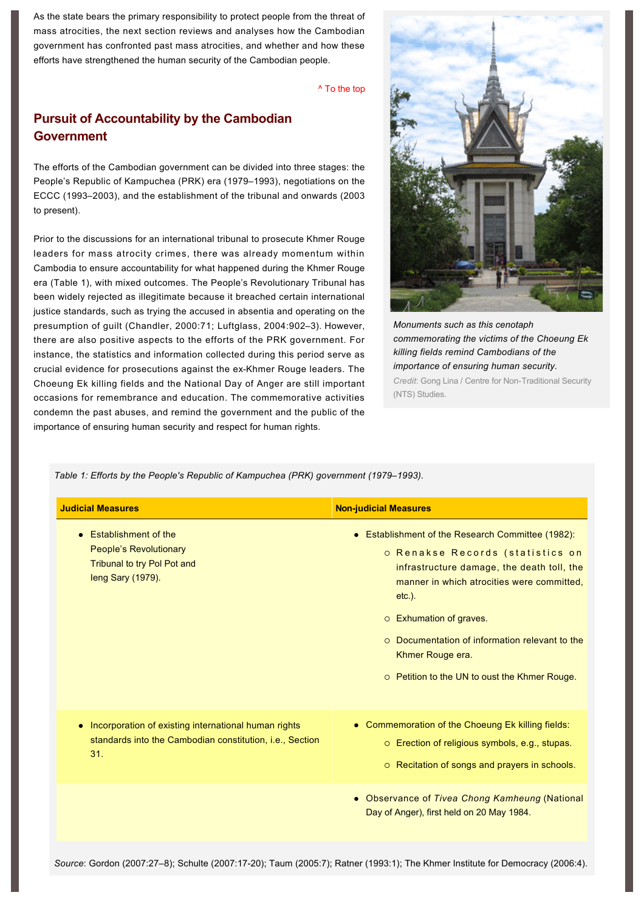As the state bears the primary responsibility to protect people from the threat of mass atrocities, the next section reviews and analyses how the Cambodian government has confronted past mass atrocities, and whether and how these efforts have strengthened the human security of the Cambodian people.

[^ To the top](#page-0-0)

## **Pursuit of Accountability by the Cambodian Government**

The efforts of the Cambodian government can be divided into three stages: the People's Republic of Kampuchea (PRK) era (1979–1993), negotiations on the ECCC (1993–2003), and the establishment of the tribunal and onwards (2003 to present).

Prior to the discussions for an international tribunal to prosecute Khmer Rouge leaders for mass atrocity crimes, there was already momentum within Cambodia to ensure accountability for what happened during the Khmer Rouge era (Table 1), with mixed outcomes. The People's Revolutionary Tribunal has been widely rejected as illegitimate because it breached certain international justice standards, such as trying the accused in absentia and operating on the presumption of guilt (Chandler, 2000:71; Luftglass, 2004:902–3). However, there are also positive aspects to the efforts of the PRK government. For instance, the statistics and information collected during this period serve as crucial evidence for prosecutions against the ex-Khmer Rouge leaders. The Choeung Ek killing fields and the National Day of Anger are still important occasions for remembrance and education. The commemorative activities condemn the past abuses, and remind the government and the public of the importance of ensuring human security and respect for human rights.



*Monuments such as this cenotaph commemorating the victims of the Choeung Ek killing fields remind Cambodians of the importance of ensuring human security. Credit: Gong Lina / Centre for Non-Traditional Security* (NTS) Studies.

*Table 1: Efforts by the People's Republic of Kampuchea (PRK) government (1979–1993).*

| <b>Judicial Measures</b>                                                                                                             | <b>Non-judicial Measures</b>                                                                                                                                                                                                                                                                                                                               |
|--------------------------------------------------------------------------------------------------------------------------------------|------------------------------------------------------------------------------------------------------------------------------------------------------------------------------------------------------------------------------------------------------------------------------------------------------------------------------------------------------------|
| <b>Establishment of the</b><br>$\bullet$<br><b>People's Revolutionary</b><br>Tribunal to try Pol Pot and<br>leng Sary (1979).        | • Establishment of the Research Committee (1982):<br>o Renakse Records (statistics on<br>infrastructure damage, the death toll, the<br>manner in which atrocities were committed.<br>$etc.$ ).<br>o Exhumation of graves.<br>Documentation of information relevant to the<br>$\Omega$<br>Khmer Rouge era.<br>○ Petition to the UN to oust the Khmer Rouge. |
| Incorporation of existing international human rights<br>۰<br>standards into the Cambodian constitution, <i>i.e.</i> , Section<br>31. | • Commemoration of the Choeung Ek killing fields:<br>O Erection of religious symbols, e.g., stupas.<br>O Recitation of songs and prayers in schools.                                                                                                                                                                                                       |
|                                                                                                                                      | • Observance of Tivea Chong Kamheung (National<br>Day of Anger), first held on 20 May 1984.                                                                                                                                                                                                                                                                |

*Source*: Gordon (2007:27–8); Schulte (2007:1720); Taum (2005:7); Ratner (1993:1); The Khmer Institute for Democracy (2006:4).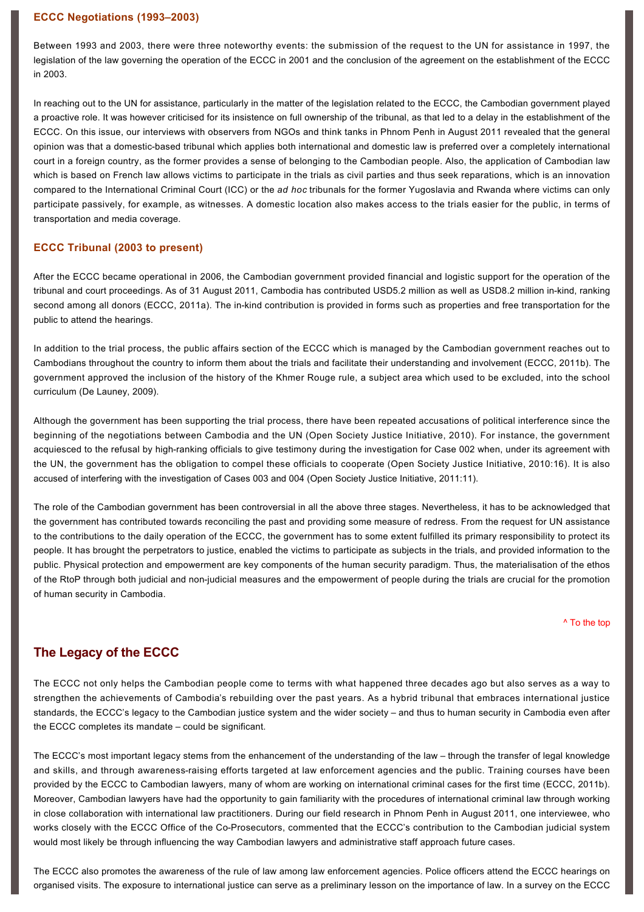### **ECCC Negotiations (1993–2003)**

Between 1993 and 2003, there were three noteworthy events: the submission of the request to the UN for assistance in 1997, the legislation of the law governing the operation of the ECCC in 2001 and the conclusion of the agreement on the establishment of the ECCC in 2003.

In reaching out to the UN for assistance, particularly in the matter of the legislation related to the ECCC, the Cambodian government played a proactive role. It was however criticised for its insistence on full ownership of the tribunal, as that led to a delay in the establishment of the ECCC. On this issue, our interviews with observers from NGOs and think tanks in Phnom Penh in August 2011 revealed that the general opinion was that a domestic-based tribunal which applies both international and domestic law is preferred over a completely international court in a foreign country, as the former provides a sense of belonging to the Cambodian people. Also, the application of Cambodian law which is based on French law allows victims to participate in the trials as civil parties and thus seek reparations, which is an innovation compared to the International Criminal Court (ICC) or the *ad hoc* tribunals for the former Yugoslavia and Rwanda where victims can only participate passively, for example, as witnesses. A domestic location also makes access to the trials easier for the public, in terms of transportation and media coverage.

### **ECCC Tribunal (2003 to present)**

After the ECCC became operational in 2006, the Cambodian government provided financial and logistic support for the operation of the tribunal and court proceedings. As of 31 August 2011, Cambodia has contributed USD5.2 million as well as USD8.2 million inkind, ranking second among all donors (ECCC, 2011a). The in-kind contribution is provided in forms such as properties and free transportation for the public to attend the hearings.

In addition to the trial process, the public affairs section of the ECCC which is managed by the Cambodian government reaches out to Cambodians throughout the country to inform them about the trials and facilitate their understanding and involvement (ECCC, 2011b). The government approved the inclusion of the history of the Khmer Rouge rule, a subject area which used to be excluded, into the school curriculum (De Launey, 2009).

Although the government has been supporting the trial process, there have been repeated accusations of political interference since the beginning of the negotiations between Cambodia and the UN (Open Society Justice Initiative, 2010). For instance, the government acquiesced to the refusal by high-ranking officials to give testimony during the investigation for Case 002 when, under its agreement with the UN, the government has the obligation to compel these officials to cooperate (Open Society Justice Initiative, 2010:16). It is also accused of interfering with the investigation of Cases 003 and 004 (Open Society Justice Initiative, 2011:11).

The role of the Cambodian government has been controversial in all the above three stages. Nevertheless, it has to be acknowledged that the government has contributed towards reconciling the past and providing some measure of redress. From the request for UN assistance to the contributions to the daily operation of the ECCC, the government has to some extent fulfilled its primary responsibility to protect its people. It has brought the perpetrators to justice, enabled the victims to participate as subjects in the trials, and provided information to the public. Physical protection and empowerment are key components of the human security paradigm. Thus, the materialisation of the ethos of the RtoP through both judicial and non-judicial measures and the empowerment of people during the trials are crucial for the promotion of human security in Cambodia.

[^ To the top](#page-0-0)

## **The Legacy of the ECCC**

The ECCC not only helps the Cambodian people come to terms with what happened three decades ago but also serves as a way to strengthen the achievements of Cambodia's rebuilding over the past years. As a hybrid tribunal that embraces international justice standards, the ECCC's legacy to the Cambodian justice system and the wider society – and thus to human security in Cambodia even after the ECCC completes its mandate – could be significant.

The ECCC's most important legacy stems from the enhancement of the understanding of the law – through the transfer of legal knowledge and skills, and through awareness-raising efforts targeted at law enforcement agencies and the public. Training courses have been provided by the ECCC to Cambodian lawyers, many of whom are working on international criminal cases for the first time (ECCC, 2011b). Moreover, Cambodian lawyers have had the opportunity to gain familiarity with the procedures of international criminal law through working in close collaboration with international law practitioners. During our field research in Phnom Penh in August 2011, one interviewee, who works closely with the ECCC Office of the Co-Prosecutors, commented that the ECCC's contribution to the Cambodian judicial system would most likely be through influencing the way Cambodian lawyers and administrative staff approach future cases.

The ECCC also promotes the awareness of the rule of law among law enforcement agencies. Police officers attend the ECCC hearings on organised visits. The exposure to international justice can serve as a preliminary lesson on the importance of law. In a survey on the ECCC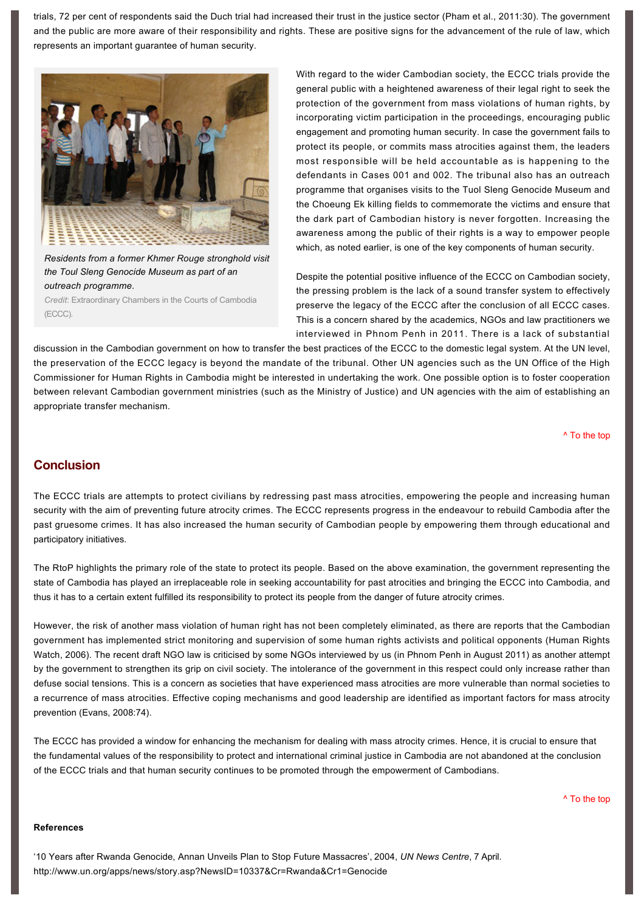trials, 72 per cent of respondents said the Duch trial had increased their trust in the justice sector (Pham et al., 2011:30). The government and the public are more aware of their responsibility and rights. These are positive signs for the advancement of the rule of law, which represents an important guarantee of human security.



*Residents from a former Khmer Rouge stronghold visit the Toul Sleng Genocide Museum as part of an outreach programme.*

*Credit*: Extraordinary Chambers in the Courts of Cambodia (ECCC).

With regard to the wider Cambodian society, the ECCC trials provide the general public with a heightened awareness of their legal right to seek the protection of the government from mass violations of human rights, by incorporating victim participation in the proceedings, encouraging public engagement and promoting human security. In case the government fails to protect its people, or commits mass atrocities against them, the leaders most responsible will be held accountable as is happening to the defendants in Cases 001 and 002. The tribunal also has an outreach programme that organises visits to the Tuol Sleng Genocide Museum and the Choeung Ek killing fields to commemorate the victims and ensure that the dark part of Cambodian history is never forgotten. Increasing the awareness among the public of their rights is a way to empower people which, as noted earlier, is one of the key components of human security.

Despite the potential positive influence of the ECCC on Cambodian society, the pressing problem is the lack of a sound transfer system to effectively preserve the legacy of the ECCC after the conclusion of all ECCC cases. This is a concern shared by the academics, NGOs and law practitioners we interviewed in Phnom Penh in 2011. There is a lack of substantial

discussion in the Cambodian government on how to transfer the best practices of the ECCC to the domestic legal system. At the UN level, the preservation of the ECCC legacy is beyond the mandate of the tribunal. Other UN agencies such as the UN Office of the High Commissioner for Human Rights in Cambodia might be interested in undertaking the work. One possible option is to foster cooperation between relevant Cambodian government ministries (such as the Ministry of Justice) and UN agencies with the aim of establishing an appropriate transfer mechanism.

[^ To the top](#page-0-0)

## **Conclusion**

The ECCC trials are attempts to protect civilians by redressing past mass atrocities, empowering the people and increasing human security with the aim of preventing future atrocity crimes. The ECCC represents progress in the endeavour to rebuild Cambodia after the past gruesome crimes. It has also increased the human security of Cambodian people by empowering them through educational and participatory initiatives.

The RtoP highlights the primary role of the state to protect its people. Based on the above examination, the government representing the state of Cambodia has played an irreplaceable role in seeking accountability for past atrocities and bringing the ECCC into Cambodia, and thus it has to a certain extent fulfilled its responsibility to protect its people from the danger of future atrocity crimes.

However, the risk of another mass violation of human right has not been completely eliminated, as there are reports that the Cambodian government has implemented strict monitoring and supervision of some human rights activists and political opponents (Human Rights Watch, 2006). The recent draft NGO law is criticised by some NGOs interviewed by us (in Phnom Penh in August 2011) as another attempt by the government to strengthen its grip on civil society. The intolerance of the government in this respect could only increase rather than defuse social tensions. This is a concern as societies that have experienced mass atrocities are more vulnerable than normal societies to a recurrence of mass atrocities. Effective coping mechanisms and good leadership are identified as important factors for mass atrocity prevention (Evans, 2008:74).

The ECCC has provided a window for enhancing the mechanism for dealing with mass atrocity crimes. Hence, it is crucial to ensure that the fundamental values of the responsibility to protect and international criminal justice in Cambodia are not abandoned at the conclusion of the ECCC trials and that human security continues to be promoted through the empowerment of Cambodians.

[^ To the top](#page-0-0)

### **References**

'10 Years after Rwanda Genocide, Annan Unveils Plan to Stop Future Massacres', 2004, *UN News Centre*, 7 April. <http://www.un.org/apps/news/story.asp?NewsID=10337&Cr=Rwanda&Cr1=Genocide>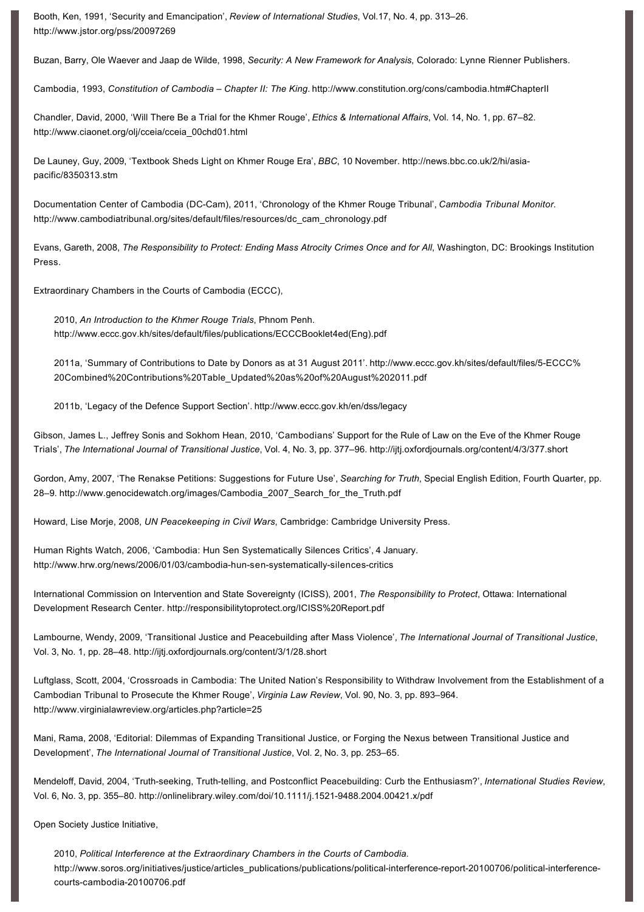Booth, Ken, 1991, 'Security and Emancipation', *Review of International Studies*, Vol.17, No. 4, pp. 313–26. http://www.jstor.org/pss/20097269

Buzan, Barry, Ole Waever and Jaap de Wilde, 1998, *Security: A New Framework for Analysis*, Colorado: Lynne Rienner Publishers.

Cambodia, 1993, *Constitution of Cambodia – Chapter II: The King*.<http://www.constitution.org/cons/cambodia.htm#ChapterII>

Chandler, David, 2000, 'Will There Be a Trial for the Khmer Rouge', *Ethics & International Affairs*, Vol. 14, No. 1, pp. 67–82. http://www.ciaonet.org/olj/cceia/cceia\_00chd01.html

[De Launey, Guy, 2009, 'Textbook Sheds Light on Khmer Rouge Era',](http://news.bbc.co.uk/2/hi/asia-pacific/8350313.stm) *BBC*, 10 November. http://news.bbc.co.uk/2/hi/asiapacific/8350313.stm

Documentation Center of Cambodia (DC-Cam), 2011, 'Chronology of the Khmer Rouge Tribunal', Cambodia Tribunal Monitor. [http://www.cambodiatribunal.org/sites/default/files/resources/dc\\_cam\\_chronology.pdf](http://www.cambodiatribunal.org/sites/default/files/resources/dc_cam_chronology.pdf)

Evans, Gareth, 2008, *The Responsibility to Protect: Ending Mass Atrocity Crimes Once and for All*, Washington, DC: Brookings Institution Press.

Extraordinary Chambers in the Courts of Cambodia (ECCC),

2010, *An Introduction to the Khmer Rouge Trials*, Phnom Penh. [http://www.eccc.gov.kh/sites/default/files/publications/ECCCBooklet4ed\(Eng\).pdf](http://www.eccc.gov.kh/sites/default/files/publications/ECCCBooklet4ed(Eng).pdf)

[2011a, 'Summary of Contributions to Date by Donors as at 31 August 2011'. http://www.eccc.gov.kh/sites/default/files/5ECCC%](http://www.eccc.gov.kh/sites/default/files/5-ECCC%20Combined%20Contributions%20Table_Updated%20as%20of%20August%202011.pdf) 20Combined%20Contributions%20Table\_Updated%20as%20of%20August%202011.pdf

2011b, 'Legacy of the Defence Support Section'.<http://www.eccc.gov.kh/en/dss/legacy>

Gibson, James L., Jeffrey Sonis and Sokhom Hean, 2010, 'Cambodians' Support for the Rule of Law on the Eve of the Khmer Rouge Trials', *The International Journal of Transitional Justice*, Vol. 4, No. 3, pp. 377–96. <http://ijtj.oxfordjournals.org/content/4/3/377.short>

Gordon, Amy, 2007, 'The Renakse Petitions: Suggestions for Future Use', *Searching for Truth*, Special English Edition, Fourth Quarter, pp. 28–9. [http://www.genocidewatch.org/images/Cambodia\\_2007\\_Search\\_for\\_the\\_Truth.pdf](http://www.genocidewatch.org/images/Cambodia_2007_Search_for_the_Truth.pdf)

Howard, Lise Morje, 2008, *UN Peacekeeping in Civil Wars*, Cambridge: Cambridge University Press.

Human Rights Watch, 2006, 'Cambodia: Hun Sen Systematically Silences Critics', 4 January. http://www.hrw.org/news/2006/01/03/cambodia-hun-sen-systematically-silences-critics

International Commission on Intervention and State Sovereignty (ICISS), 2001, *The Responsibility to Protect*, Ottawa: International Development Research Center.<http://responsibilitytoprotect.org/ICISS%20Report.pdf>

Lambourne, Wendy, 2009, 'Transitional Justice and Peacebuilding after Mass Violence', *The International Journal of Transitional Justice*, Vol. 3, No. 1, pp. 28–48. <http://ijtj.oxfordjournals.org/content/3/1/28.short>

Luftglass, Scott, 2004, 'Crossroads in Cambodia: The United Nation's Responsibility to Withdraw Involvement from the Establishment of a Cambodian Tribunal to Prosecute the Khmer Rouge', *Virginia Law Review*, Vol. 90, No. 3, pp. 893–964. <http://www.virginialawreview.org/articles.php?article=25>

Mani, Rama, 2008, 'Editorial: Dilemmas of Expanding Transitional Justice, or Forging the Nexus between Transitional Justice and Development', *The International Journal of Transitional Justice*, Vol. 2, No. 3, pp. 253–65.

Mendeloff, David, 2004, 'Truth-seeking, Truth-telling, and Postconflict Peacebuilding: Curb the Enthusiasm?', *International Studies Review*, Vol. 6, No. 3, pp. 355–80. [http://onlinelibrary.wiley.com/doi/10.1111/j.15219488.2004.00421.x/pdf](http://onlinelibrary.wiley.com/doi/10.1111/j.1521-9488.2004.00421.x/pdf)

Open Society Justice Initiative,

2010, *Political Interference at the Extraordinary Chambers in the Courts of Cambodia*. http://www.soros.org/initiatives/justice/articles\_publications/publications/political-interference-report-20100706/political-interferencecourts-cambodia-20100706.pdf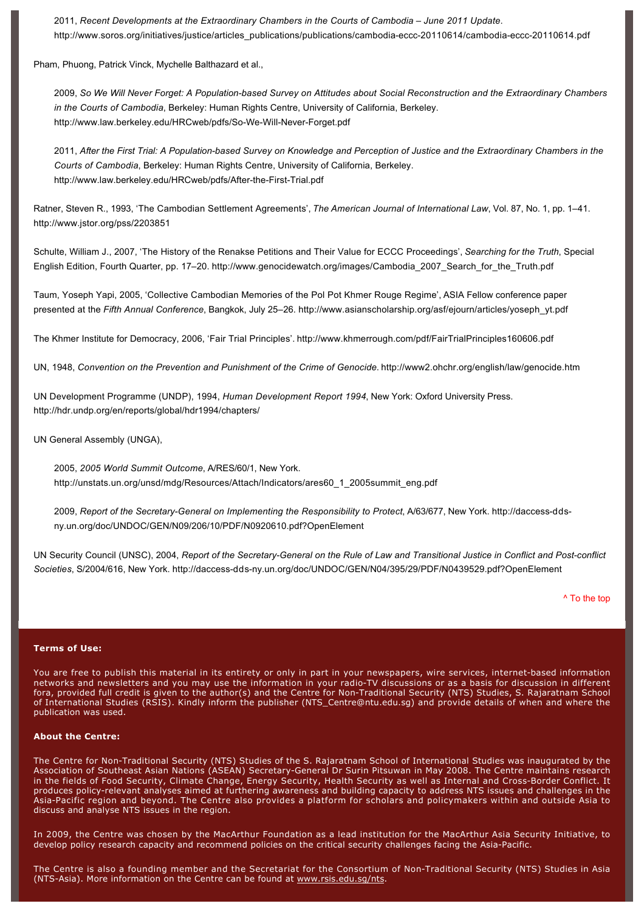2011, *Recent Developments at the Extraordinary Chambers in the Courts of Cambodia – June 2011 Update*. http://www.soros.org/initiatives/justice/articles\_publications/publications/cambodia-eccc-20110614/cambodia-eccc-20110614.pdf

Pham, Phuong, Patrick Vinck, Mychelle Balthazard et al.,

2009, So We Will Never Forget: A Population-based Survey on Attitudes about Social Reconstruction and the Extraordinary Chambers *in the Courts of Cambodia*, Berkeley: Human Rights Centre, University of California, Berkeley. http://www.law.berkeley.edu/HRCweb/pdfs/So-We-Will-Never-Forget.pdf

2011, *After the First Trial: A Populationbased Survey on Knowledge and Perception of Justice and the Extraordinary Chambers in the Courts of Cambodia*, Berkeley: Human Rights Centre, University of California, Berkeley. http://www.law.berkeley.edu/HRCweb/pdfs/After-the-First-Trial.pdf

Ratner, Steven R., 1993, 'The Cambodian Settlement Agreements', *The American Journal of International Law*, Vol. 87, No. 1, pp. 1–41. <http://www.jstor.org/pss/2203851>

Schulte, William J., 2007, 'The History of the Renakse Petitions and Their Value for ECCC Proceedings', *Searching for the Truth*, Special English Edition, Fourth Quarter, pp. 17–20. [http://www.genocidewatch.org/images/Cambodia\\_2007\\_Search\\_for\\_the\\_Truth.pdf](http://www.genocidewatch.org/images/Cambodia_2007_Search_for_the_Truth.pdf)

Taum, Yoseph Yapi, 2005, 'Collective Cambodian Memories of the Pol Pot Khmer Rouge Regime', ASIA Fellow conference paper presented at the *Fifth Annual Conference*, Bangkok, July 25–26. [http://www.asianscholarship.org/asf/ejourn/articles/yoseph\\_yt.pdf](http://www.asianscholarship.org/asf/ejourn/articles/yoseph_yt.pdf)

The Khmer Institute for Democracy, 2006, 'Fair Trial Principles'.<http://www.khmerrough.com/pdf/FairTrialPrinciples160606.pdf>

UN, 1948, *Convention on the Prevention and Punishment of the Crime of Genocide*.<http://www2.ohchr.org/english/law/genocide.htm>

UN Development Programme (UNDP), 1994, *Human Development Report 1994*, New York: Oxford University Press. <http://hdr.undp.org/en/reports/global/hdr1994/chapters/>

UN General Assembly (UNGA),

2005, *2005 World Summit Outcome*, A/RES/60/1, New York. [http://unstats.un.org/unsd/mdg/Resources/Attach/Indicators/ares60\\_1\\_2005summit\\_eng.pdf](http://unstats.un.org/unsd/mdg/Resources/Attach/Indicators/ares60_1_2005summit_eng.pdf)

2009, Report of the Secretary-General on Implementing the Responsibility to Protect, A/63/677, New York. http://daccess-ddsny.un.org/doc/UNDOC/GEN/N09/206/10/PDF/N0920610.pdf?OpenElement

UN Security Council (UNSC), 2004, Report of the Secretary-General on the Rule of Law and Transitional Justice in Conflict and Post-conflict Societies, S/2004/616, New York. http://daccess-dds-ny.un.org/doc/UNDOC/GEN/N04/395/29/PDF/N0439529.pdf?OpenElement

[^ To the top](#page-0-0)

#### **Terms of Use:**

You are free to publish this material in its entirety or only in part in your newspapers, wire services, internet-based information networks and newsletters and you may use the information in your radio-TV discussions or as a basis for discussion in different fora, provided full credit is given to the author(s) and the Centre for Non-Traditional Security (NTS) Studies, S. Rajaratnam School of International Studies (RSIS). Kindly inform the publisher [\(NTS\\_Centre@ntu.edu.sg\)](mailto:NTS_Centre@ntu.edu.sg) and provide details of when and where the publication was used.

#### **About the Centre:**

The Centre for Non-Traditional Security (NTS) Studies of the S. Rajaratnam School of International Studies was inaugurated by the Association of Southeast Asian Nations (ASEAN) Secretary-General Dr Surin Pitsuwan in May 2008. The Centre maintains research in the fields of Food Security, Climate Change, Energy Security, Health Security as well as Internal and Cross-Border Conflict. It produces policy-relevant analyses aimed at furthering awareness and building capacity to address NTS issues and challenges in the AsiaPacific region and beyond. The Centre also provides a platform for scholars and policymakers within and outside Asia to discuss and analyse NTS issues in the region.

In 2009, the Centre was chosen by the MacArthur Foundation as a lead institution for the MacArthur Asia Security Initiative, to develop policy research capacity and recommend policies on the critical security challenges facing the Asia-Pacific.

The Centre is also a founding member and the Secretariat for the Consortium of Non-Traditional Security (NTS) Studies in Asia (NTS-Asia). More information on the Centre can be found at [www.rsis.edu.sg/nts](http://www.rsis.edu.sg/nts).